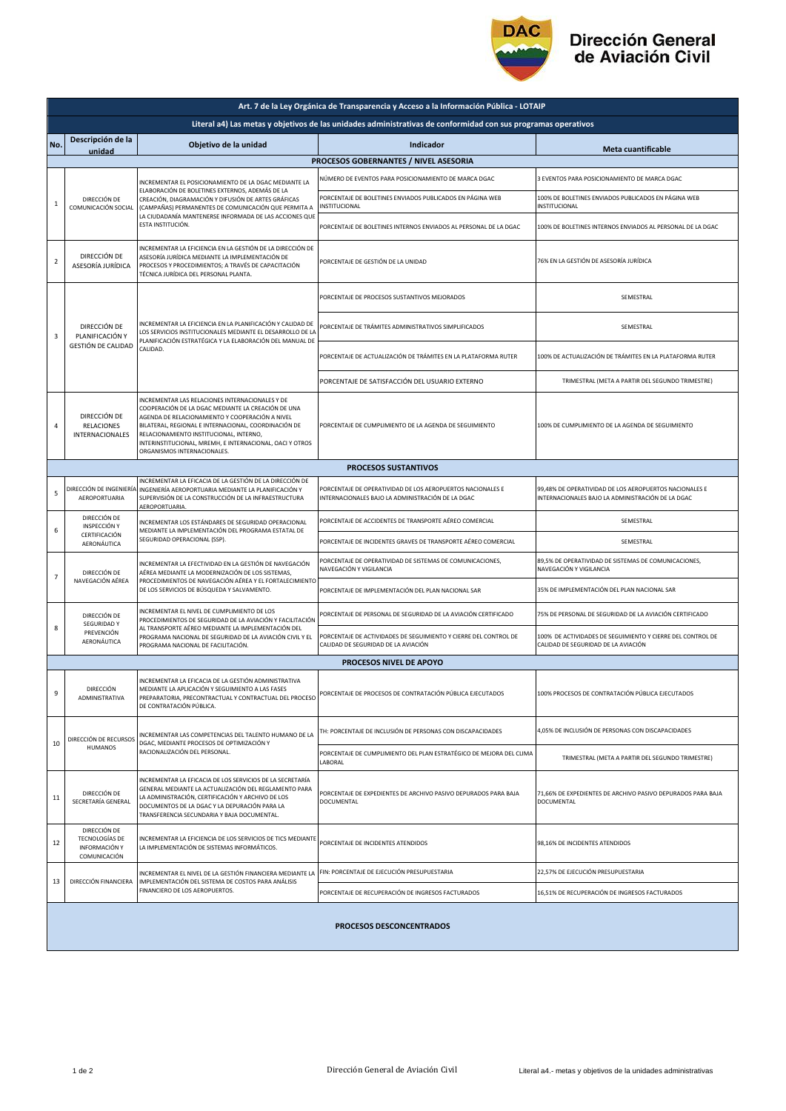

## Dirección General<br>de Aviación Civil

| Art. 7 de la Ley Orgánica de Transparencia y Acceso a la Información Pública - LOTAIP                         |                                                                        |                                                                                                                                                                                                                                                                                                                                                        |                                                                                                                 |                                                                                                             |  |  |  |
|---------------------------------------------------------------------------------------------------------------|------------------------------------------------------------------------|--------------------------------------------------------------------------------------------------------------------------------------------------------------------------------------------------------------------------------------------------------------------------------------------------------------------------------------------------------|-----------------------------------------------------------------------------------------------------------------|-------------------------------------------------------------------------------------------------------------|--|--|--|
| Literal a4) Las metas y objetivos de las unidades administrativas de conformidad con sus programas operativos |                                                                        |                                                                                                                                                                                                                                                                                                                                                        |                                                                                                                 |                                                                                                             |  |  |  |
| No.                                                                                                           | Descripción de la<br>unidad                                            | Objetivo de la unidad                                                                                                                                                                                                                                                                                                                                  | Indicador                                                                                                       | Meta cuantificable                                                                                          |  |  |  |
| PROCESOS GOBERNANTES / NIVEL ASESORIA                                                                         |                                                                        |                                                                                                                                                                                                                                                                                                                                                        |                                                                                                                 |                                                                                                             |  |  |  |
| $\mathbf{1}$                                                                                                  | DIRECCIÓN DE<br>COMUNICACIÓN SOCIAL                                    | INCREMENTAR EL POSICIONAMIENTO DE LA DGAC MEDIANTE LA<br>ELABORACIÓN DE BOLETINES EXTERNOS. ADEMÁS DE LA<br>CREACIÓN, DIAGRAMACIÓN Y DIFUSIÓN DE ARTES GRÁFICAS<br>(CAMPAÑAS) PERMANENTES DE COMUNICACIÓN QUE PERMITA A<br>LA CIUDADANÍA MANTENERSE INFORMADA DE LAS ACCIONES QUE<br>ESTA INSTITUCIÓN.                                                 | NÚMERO DE EVENTOS PARA POSICIONAMIENTO DE MARCA DGAC                                                            | 3 EVENTOS PARA POSICIONAMIENTO DE MARCA DGAC                                                                |  |  |  |
|                                                                                                               |                                                                        |                                                                                                                                                                                                                                                                                                                                                        | PORCENTAJE DE BOLETINES ENVIADOS PUBLICADOS EN PÁGINA WEB<br>INSTITUCIONAL                                      | 100% DE BOLETINES ENVIADOS PUBLICADOS EN PÁGINA WEB<br>INSTITUCIONAL                                        |  |  |  |
|                                                                                                               |                                                                        |                                                                                                                                                                                                                                                                                                                                                        | PORCENTAJE DE BOLETINES INTERNOS ENVIADOS AL PERSONAL DE LA DGAC                                                | 100% DE BOLETINES INTERNOS ENVIADOS AL PERSONAL DE LA DGAC                                                  |  |  |  |
| $\overline{2}$                                                                                                | DIRECCIÓN DE<br>ASESORÍA JURÍDICA                                      | INCREMENTAR LA EFICIENCIA EN LA GESTIÓN DE LA DIRECCIÓN DE<br>ASESORÍA JURÍDICA MEDIANTE LA IMPLEMENTACIÓN DE<br>PROCESOS Y PROCEDIMIENTOS; A TRAVÉS DE CAPACITACIÓN<br>TÉCNICA JURÍDICA DEL PERSONAL PLANTA.                                                                                                                                          | PORCENTAJE DE GESTIÓN DE LA UNIDAD                                                                              | 76% EN LA GESTIÓN DE ASESORÍA JURÍDICA                                                                      |  |  |  |
| 3                                                                                                             | DIRECCIÓN DE<br>PLANIFICACIÓN Y<br>GESTIÓN DE CALIDAD                  | INCREMENTAR LA EFICIENCIA EN LA PLANIFICACIÓN Y CALIDAD DE<br>LOS SERVICIOS INSTITUCIONALES MEDIANTE EL DESARROLLO DE LA<br>PLANIFICACIÓN ESTRATÉGICA Y LA ELABORACIÓN DEL MANUAL DE<br>CALIDAD.                                                                                                                                                       | PORCENTAJE DE PROCESOS SUSTANTIVOS MEJORADOS                                                                    | SEMESTRAL                                                                                                   |  |  |  |
|                                                                                                               |                                                                        |                                                                                                                                                                                                                                                                                                                                                        | PORCENTAJE DE TRÁMITES ADMINISTRATIVOS SIMPLIFICADOS                                                            | SEMESTRAL                                                                                                   |  |  |  |
|                                                                                                               |                                                                        |                                                                                                                                                                                                                                                                                                                                                        | PORCENTAJE DE ACTUALIZACIÓN DE TRÁMITES EN LA PLATAFORMA RUTER                                                  | 100% DE ACTUALIZACIÓN DE TRÁMITES EN LA PLATAFORMA RUTER                                                    |  |  |  |
|                                                                                                               |                                                                        |                                                                                                                                                                                                                                                                                                                                                        | PORCENTAJE DE SATISFACCIÓN DEL USUARIO EXTERNO                                                                  | TRIMESTRAL (META A PARTIR DEL SEGUNDO TRIMESTRE)                                                            |  |  |  |
| 4                                                                                                             | DIRECCIÓN DE<br>RELACIONES<br><b>INTERNACIONALES</b>                   | INCREMENTAR LAS RELACIONES INTERNACIONALES Y DE<br>COOPERACIÓN DE LA DGAC MEDIANTE LA CREACIÓN DE UNA<br>AGENDA DE RELACIONAMIENTO Y COOPERACIÓN A NIVEL<br>BILATERAL, REGIONAL E INTERNACIONAL, COORDINACIÓN DE<br>RELACIONAMIENTO INSTITUCIONAL, INTERNO,<br>INTERINSTITUCIONAL, MREMH, E INTERNACIONAL, OACI Y OTROS<br>ORGANISMOS INTERNACIONALES. | PORCENTAJE DE CUMPLIMIENTO DE LA AGENDA DE SEGUIMIENTO                                                          | 100% DE CUMPLIMIENTO DE LA AGENDA DE SEGUIMIENTO                                                            |  |  |  |
| <b>PROCESOS SUSTANTIVOS</b>                                                                                   |                                                                        |                                                                                                                                                                                                                                                                                                                                                        |                                                                                                                 |                                                                                                             |  |  |  |
| 5                                                                                                             | DIRECCIÓN DE INGENIERÍA<br>AEROPORTUARIA                               | INCREMENTAR LA EFICACIA DE LA GESTIÓN DE LA DIRECCIÓN DE<br>INGENIERÍA AEROPORTUARIA MEDIANTE LA PLANIFICACIÓN Y<br>SUPERVISIÓN DE LA CONSTRUCCIÓN DE LA INFRAESTRUCTURA<br>AEROPORTUARIA.                                                                                                                                                             | PORCENTAJE DE OPERATIVIDAD DE LOS AEROPUERTOS NACIONALES E<br>INTERNACIONALES BAJO LA ADMINISTRACIÓN DE LA DGAC | 99,48% DE OPERATIVIDAD DE LOS AEROPUERTOS NACIONALES E<br>INTERNACIONALES BAJO LA ADMINISTRACIÓN DE LA DGAC |  |  |  |
|                                                                                                               | DIRECCIÓN DE<br>INSPECCIÓN Y                                           | INCREMENTAR LOS ESTÁNDARES DE SEGURIDAD OPERACIONAL                                                                                                                                                                                                                                                                                                    | PORCENTAJE DE ACCIDENTES DE TRANSPORTE AÉREO COMERCIAL                                                          | SEMESTRAL                                                                                                   |  |  |  |
| 6                                                                                                             | CERTIFICACIÓN<br>AERONÁUTICA                                           | MEDIANTE LA IMPLEMENTACIÓN DEL PROGRAMA ESTATAL DE<br>SEGURIDAD OPERACIONAL (SSP).                                                                                                                                                                                                                                                                     | PORCENTAJE DE INCIDENTES GRAVES DE TRANSPORTE AÉREO COMERCIAL                                                   | SEMESTRAL                                                                                                   |  |  |  |
| $\overline{7}$                                                                                                | DIRECCIÓN DE<br>NAVEGACIÓN AÉREA                                       | INCREMENTAR LA EFECTIVIDAD EN LA GESTIÓN DE NAVEGACIÓN<br>AÉREA MEDIANTE LA MODERNIZACIÓN DE LOS SISTEMAS,<br>PROCEDIMIENTOS DE NAVEGACIÓN AÉREA Y EL FORTALECIMIENTO<br>DE LOS SERVICIOS DE BÚSQUEDA Y SALVAMENTO.                                                                                                                                    | PORCENTAJE DE OPERATIVIDAD DE SISTEMAS DE COMUNICACIONES,<br>NAVEGACIÓN Y VIGILANCIA                            | 89,5% DE OPERATIVIDAD DE SISTEMAS DE COMUNICACIONES,<br>NAVEGACIÓN Y VIGILANCIA                             |  |  |  |
|                                                                                                               |                                                                        |                                                                                                                                                                                                                                                                                                                                                        | PORCENTAJE DE IMPLEMENTACIÓN DEL PLAN NACIONAL SAR                                                              | 35% DE IMPLEMENTACIÓN DEL PLAN NACIONAL SAR                                                                 |  |  |  |
|                                                                                                               | DIRECCIÓN DE<br>SEGURIDAD Y<br>PREVENCIÓN<br>AERONÁUTICA               | INCREMENTAR EL NIVEL DE CUMPLIMIENTO DE LOS<br>PROCEDIMIENTOS DE SEGURIDAD DE LA AVIACIÓN Y FACILITACIÓN<br>AL TRANSPORTE AÉREO MEDIANTE LA IMPLEMENTACIÓN DEL<br>PROGRAMA NACIONAL DE SEGURIDAD DE LA AVIACIÓN CIVIL Y EL<br>PROGRAMA NACIONAL DE FACILITACIÓN.                                                                                       | PORCENTAJE DE PERSONAL DE SEGURIDAD DE LA AVIACIÓN CERTIFICADO                                                  | 75% DE PERSONAL DE SEGURIDAD DE LA AVIACIÓN CERTIFICADO                                                     |  |  |  |
| 8                                                                                                             |                                                                        |                                                                                                                                                                                                                                                                                                                                                        | PORCENTAJE DE ACTIVIDADES DE SEGUIMIENTO Y CIERRE DEL CONTROL DE<br>CALIDAD DE SEGURIDAD DE LA AVIACIÓN         | 100% DE ACTIVIDADES DE SEGUIMIENTO Y CIERRE DEL CONTROL DE<br>CALIDAD DE SEGURIDAD DE LA AVIACIÓN           |  |  |  |
| PROCESOS NIVEL DE APOYO                                                                                       |                                                                        |                                                                                                                                                                                                                                                                                                                                                        |                                                                                                                 |                                                                                                             |  |  |  |
| 9                                                                                                             | <b>DIRECCIÓN</b><br>ADMINISTRATIVA                                     | INCREMENTAR LA EFICACIA DE LA GESTIÓN ADMINISTRATIVA<br>MEDIANTE LA APLICACIÓN Y SEGUIMIENTO A LAS FASES<br>PREPARATORIA, PRECONTRACTUAL Y CONTRACTUAL DEL PROCESO<br>DE CONTRATACIÓN PÚBLICA.                                                                                                                                                         | PORCENTAJE DE PROCESOS DE CONTRATACIÓN PÚBLICA EJECUTADOS                                                       | 100% PROCESOS DE CONTRATACIÓN PÚBLICA EJECUTADOS                                                            |  |  |  |
| 10                                                                                                            | DIRECCIÓN DE RECURSOS<br><b>HUMANOS</b>                                | INCREMENTAR LAS COMPETENCIAS DEL TALENTO HUMANO DE LA<br>DGAC, MEDIANTE PROCESOS DE OPTIMIZACIÓN Y<br>RACIONALIZACIÓN DEL PERSONAL.                                                                                                                                                                                                                    | TH: PORCENTAJE DE INCLUSIÓN DE PERSONAS CON DISCAPACIDADES                                                      | 4,05% DE INCLUSIÓN DE PERSONAS CON DISCAPACIDADES                                                           |  |  |  |
|                                                                                                               |                                                                        |                                                                                                                                                                                                                                                                                                                                                        | PORCENTAJE DE CUMPLIMIENTO DEL PLAN ESTRATÉGICO DE MEJORA DEL CLIMA<br>LABORAL                                  | TRIMESTRAL (META A PARTIR DEL SEGUNDO TRIMESTRE)                                                            |  |  |  |
| 11                                                                                                            | DIRECCIÓN DE<br>SECRETARÍA GENERAL                                     | INCREMENTAR LA EFICACIA DE LOS SERVICIOS DE LA SECRETARÍA<br>GENERAL MEDIANTE LA ACTUALIZACIÓN DEL REGLAMENTO PARA<br>LA ADMINISTRACIÓN, CERTIFICACIÓN Y ARCHIVO DE LOS<br>DOCUMENTOS DE LA DGAC Y LA DEPURACIÓN PARA LA<br>TRANSFERENCIA SECUNDARIA Y BAJA DOCUMENTAL.                                                                                | PORCENTAJE DE EXPEDIENTES DE ARCHIVO PASIVO DEPURADOS PARA BAJA<br>DOCUMENTAL                                   | 71,66% DE EXPEDIENTES DE ARCHIVO PASIVO DEPURADOS PARA BAJA<br>DOCUMENTAL                                   |  |  |  |
| 12                                                                                                            | DIRECCIÓN DE<br><b>TECNOLOGÍAS DE</b><br>INFORMACIÓN Y<br>COMUNICACIÓN | INCREMENTAR LA EFICIENCIA DE LOS SERVICIOS DE TICS MEDIANTE<br>LA IMPLEMENTACIÓN DE SISTEMAS INFORMÁTICOS.                                                                                                                                                                                                                                             | PORCENTAJE DE INCIDENTES ATENDIDOS                                                                              | 98,16% DE INCIDENTES ATENDIDOS                                                                              |  |  |  |
| 13                                                                                                            | DIRECCIÓN FINANCIERA                                                   | INCREMENTAR EL NIVEL DE LA GESTIÓN FINANCIERA MEDIANTE LA<br>IMPLEMENTACIÓN DEL SISTEMA DE COSTOS PARA ANÁLISIS<br>FINANCIERO DE LOS AEROPUERTOS.                                                                                                                                                                                                      | FIN: PORCENTAJE DE EJECUCIÓN PRESUPUESTARIA                                                                     | 22,57% DE EJECUCIÓN PRESUPUESTARIA                                                                          |  |  |  |
|                                                                                                               |                                                                        |                                                                                                                                                                                                                                                                                                                                                        | PORCENTAJE DE RECUPERACIÓN DE INGRESOS FACTURADOS                                                               | 16,51% DE RECUPERACIÓN DE INGRESOS FACTURADOS                                                               |  |  |  |
| <b>PROCESOS DESCONCENTRADOS</b>                                                                               |                                                                        |                                                                                                                                                                                                                                                                                                                                                        |                                                                                                                 |                                                                                                             |  |  |  |